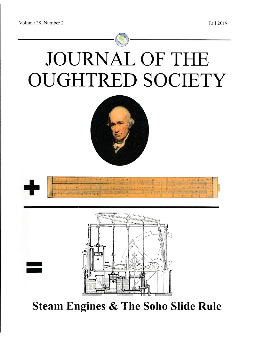Volume 28, Number 2

# **JOURNAL OF THE OUGHTRED SOCIETY**





**Steam Engines & The Soho Slide Rule**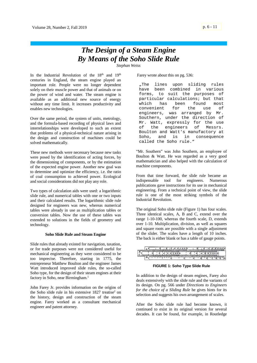# *The Design of a Steam Engine By Means of the Soho Slide Rule*

*Stephan Weiss*

In the Industrial Revolution of the  $18<sup>th</sup>$  and  $19<sup>th</sup>$ centuries in England, the steam engine played an important role. People were no longer dependent solely on their muscle power and that of animals or on the power of wind and water. The steam engine is available as an additional new source of energy without any time limit. It increases productivity and enables new technologies.

Over the same period, the system of units, metrology, and the formula-based recording of physical laws and interrelationships were developed to such an extent that problems of a physical-technical nature arising in the design and construction of machines could be solved mathematically.

These new methods were necessary because new tasks were posed by the identification of acting forces, by the dimensioning of components, or by the estimation of the expected engine power. Another new goal was to determine and optimize the efficiency, i.e. the ratio of coal consumption to achieved power. Ecological and social considerations did not play any role.

Two types of calculation aids were used: a logarithmic slide rule, and numerical tables with one or two inputs and their calculated results. The logarithmic slide rule designed for engineers was new, whereas numerical tables were already in use as multiplication tables or conversion tables. Now the use of these tables was extended to solutions in the fields of geometry and technology.

# **Soho Slide Rule and Steam Engine**

Slide rules that already existed for navigation, taxation, or for trade purposes were not considered useful for mechanical engineering as they were considered to be too imprecise. Therefore, starting in 1775, the entrepreneur Matthew Boulton and the engineer James Watt introduced improved slide rules, the so-called Soho type, for the design of their steam engines at their factory in Soho, near Birmingham.<sup>1</sup>

John Farey Jr. provides information on the origins of the Soho slide rule in his extensive 1827 treatise<sup>2</sup> on the history, design and construction of the steam engine. Farey worked as a consultant mechanical engineer and patent attorney.

Farey wrote about this on pg. 536:

"The lines upon sliding rules have been combined in various forms, to suit the purposes of particular calculations; but that which has been found most convenient for the use of engineers, was arranged by Mr. Southern, under the direction of Mr. Watt, expressly for the use<br>of the engineers of Messrs. of the engineers of Messrs. Boulton and Watt's manufactory at Soho, and is in consequence called the Soho rule."

"Mr. Southern" was John Southern, an employee of Boulton & Watt. He was regarded as a very good mathematician and also helped with the calculation of machine components.

From that time forward, the slide rule became an indispensable tool for engineers. Numerous publications gave instructions for its use in mechanical engineering. From a technical point of view, the slide rule is one of the most striking symbols of the Industrial Revolution.

The original Soho slide rule (Figure 1) has four scales. Three identical scales, A, B and C, extend over the range 1-10-100, whereas the fourth scale, D, extends over 1-10. Multiplication, division, as well as squares and square roots are possible with a single adjustment of the slider. The scales have a length of 10 inches. The back is either blank or has a table of gauge points.

|  |  |  |  |  | <b><i><u>Programmation</u></i></b> |  |  |  |  |  |  |
|--|--|--|--|--|------------------------------------|--|--|--|--|--|--|
|  |  |  |  |  |                                    |  |  |  |  |  |  |
|  |  |  |  |  |                                    |  |  |  |  |  |  |

**FIGURE 1: Soho Type Slide Rule**

In addition to the design of steam engines, Farey also deals extensively with the slide rule and the variants of its design. On pg. 566 under *Directions to Engineers for the choice of a Sliding Rule* he gives hints for its selection and suggests his own arrangement of scales.

After the Soho slide rule had become known, it continued to exist in its original version for several decades. It can be found, for example, in Routledge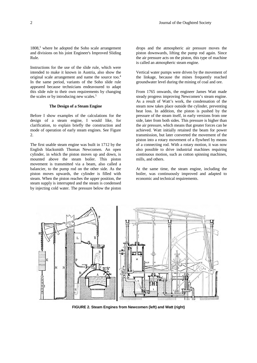$1808<sup>3</sup>$  where he adopted the Soho scale arrangement and divisions on his joint Engineer's Improved Sliding Rule.

Instructions for the use of the slide rule, which were intended to make it known in Austria, also show the original scale arrangement and name the source too.<sup>4</sup> In the same period, variants of the Soho slide rule appeared because technicians endeavoured to adapt this slide rule to their own requirements by changing the scales or by introducing new scales.<sup>5</sup>

# **The Design of a Steam Engine**

Before I show examples of the calculations for the design of a steam engine, I would like, for clarification, to explain briefly the construction and mode of operation of early steam engines. See Figure  $\mathcal{L}$ 

The first usable steam engine was built in 1712 by the English blacksmith Thomas Newcomen. An open cylinder, in which the piston moves up and down, is mounted above the steam boiler. This piston movement is transmitted via a beam, also called a balancier, to the pump rod on the other side. As the piston moves upwards, the cylinder is filled with steam. When the piston reaches the upper position, the steam supply is interrupted and the steam is condensed by injecting cold water. The pressure below the piston drops and the atmospheric air pressure moves the piston downwards, lifting the pump rod again. Since the air pressure acts on the piston, this type of machine is called an atmospheric steam engine.

Vertical water pumps were driven by the movement of the linkage, because the mines frequently reached groundwater level during the mining of coal and ore.

From 1765 onwards, the engineer James Watt made steady progress improving Newcomen's steam engine. As a result of Watt's work, the condensation of the steam now takes place outside the cylinder, preventing heat loss. In addition, the piston is pushed by the pressure of the steam itself, in early versions from one side, later from both sides. This pressure is higher than the air pressure, which means that greater forces can be achieved. Watt initially retained the beam for power transmission, but later converted the movement of the piston into a rotary movement of a flywheel by means of a connecting rod. With a rotary motion, it was now also possible to drive industrial machines requiring continuous motion, such as cotton spinning machines, mills, and others.

At the same time, the steam engine, including the boiler, was continuously improved and adapted to economic and technical requirements.



**FIGURE 2. Steam Engines from Newcomen (left) and Watt (right)**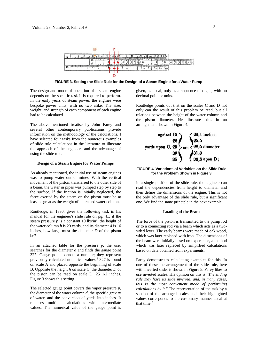

**FIGURE 3. Setting the Slide Rule for the Design of a Steam Engine for a Water Pump**

The design and mode of operation of a steam engine depends on the specific task it is required to perform. In the early years of steam power, the engines were bespoke power units, with no two alike. The size, weight, and strength of each component of each engine had to be calculated.

The above-mentioned treatise by John Farey and several other contemporary publications provide information on the methodology of the calculations. I have selected four tasks from the numerous examples of slide rule calculations in the literature to illustrate the approach of the engineers and the advantage of using the slide rule.

# **Design of a Steam Engine for Water Pumps**

As already mentioned, the initial use of steam engines was to pump water out of mines. With the vertical movement of the piston, transferred to the other side of a beam, the water in pipes was pumped step by step to the surface. If the friction is initially neglected, the force exerted by the steam on the piston must be at least as great as the weight of the raised water column.

Routledge, in 1830, gives the following task in his manual for the engineer's slide rule on pg. 41: if the steam pressure  $p$  is a constant 10 lbs/in<sup>2</sup>, the height of the water column  $h$  is 20 yards, and its diameter  $d$  is 16 inches, how large must the diameter *D* of the piston be?

In an attached table for the pressure  $p$ , the user searches for the diameter *d* and finds the gauge point 327. Gauge points denote a number; they represent previously calculated numerical values.<sup>6</sup> 327 is found on scale A and placed opposite the beginning of scale B. Opposite the height *h* on scale C, the diameter *D* of the piston can be read on scale D: 25 1/2 inches. Figure 3 shows this setting.

The selected gauge point covers the vapor pressure *p*, the diameter of the water column *d*, the specific gravity of water, and the conversion of yards into inches. It replaces multiple calculations with intermediate values. The numerical value of the gauge point is given, as usual, only as a sequence of digits, with no decimal point or units.

Routledge points out that on the scales C and D not only can the result of this problem be read, but all relations between the height of the water column and the piston diameter. He illustrates this in an arrangement shown in Figure 4.



# **FIGURE 4. Variations of Variables on the Slide Rule for the Problem Shown in Figure 3**

In a single position of the slide rule, the engineer can read the dependencies from height to diameter and then define the dimensions of the engine. This is not the only advantage of the slide rule, but a significant one. We find the same principle in the next example.

### **Loading of the Beam**

The force of the piston is transmitted to the pump rod or to a connecting rod via a beam which acts as a twosided lever. The early beams were made of oak wood, which was later replaced with iron. The dimensions of the beam were initially based on experience, a method which was later replaced by simplified calculations based on data obtained from experiments.

Farey demonstrates calculating examples for this. In one of these the arrangement of the slide rule, here with inverted slide, is shown in Figure 5. Farey likes to use inverted scales. His opinion on this is *"The sliding rule may have its slide inverted, and, in many cases, this is the most convenient mode of performing calculations by it."* The representation of the task by a section of the arranged scales and their highlighted values corresponds to the customary manner usual at that time.7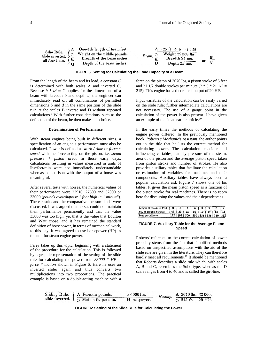|                                      | A One-4th length of beam feet. |       | A $(25 \text{ ft.} \div 4 =) 6.25$ |  |
|--------------------------------------|--------------------------------|-------|------------------------------------|--|
| Soho Rule.<br>Slide inverted, $\geq$ | Weight on the middle pounds.   | Exam. | Weight 32 368 lbs.                 |  |
| all four lines.                      | Breadth of the beam inches.    |       | Breadth 24 inc.                    |  |
|                                      | Depth of the beam inches.      |       | Depth 29 inc.                      |  |

#### **FIGURE 5. Setting for Calculating the Load Capacity of a Beam**

From the length of the beam and its load, a constant *C* is determined with both scales A and inverted C. Because  $b * d^2 \equiv C$  applies for the dimensions of a beam with breadth *b* and depth *d*, the engineer can immediately read off all combinations of permitted dimensions *b* and *d* in the same position of the slide rule at the scales B inverse and D without repeated calculations.<sup>8</sup> With further considerations, such as the deflection of the beam, he then makes his choice.

# **Determination of Performance**

With steam engines being built in different sizes, a specification of an engine's performance must also be calculated. Power is defined as *work / time* or *force \* speed* with the force acting on the piston, i.e. *steam pressure \* piston area*. In those early days, calculations resulting in values measured in units of lbs\*feet/min were not immediately understandable whereas comparison with the output of a horse was meaningful.

After several tests with horses, the numerical values of their performance were 22916, 27500 and 32000 or 33000 (*pounds avoirdupoise 1 foot high in 1 minute*<sup>9</sup> ). These results and the comparative measure itself were discussed. It was argued that horses could not maintain their performance permanently and that the value 33000 was too high, yet that is the value that Boulton and Watt chose, and it has remained the standard definition of horsepower, in terms of mechanical work, to this day. It was agreed to use horsepower (HP) as the unit for steam engine power.

Farey takes up this topic, beginning with a statement of the procedure for the calculation. This is followed by a graphic representation of the setting of the slide rule for calculating the power from *33000 \* HP = force \* motion* shown in Figure 6. Here he uses an inverted slider again and thus converts two multiplications into two proportions. The practical example is based on a double-acting machine with a force on the piston of 3070 lbs, a piston stroke of 5 feet and 21 1/2 double strokes per minute  $(2 * 5 * 21 1/2 =$ 215). This engine has a theoretical output of 20 HP.

Input variables of the calculation can be easily varied on the slide rule; further intermediate calculations are not necessary. The use of a gauge point in the calculation of the power is also present. I have given an example of this in an earlier article.<sup>10</sup>

In the early times the methods of calculating the engine power differed. In the previously mentioned book, *Roberts's Mechanic's Assistant*, the author points out in the title that he lists the correct method for calculating power. The calculation considers all influencing variables, namely pressure of the steam, area of the piston and the average piston speed taken from piston stroke and number of strokes. He also provides auxiliary tables that facilitate the calculation or estimation of variables for machines and their components. Auxiliary tables have always been a popular calculation aid. Figure 7 shows one of his tables. It gives the mean piston speed as a function of the piston stroke for real machines. There is no room here for discussing the values and their dependencies.

| Length of Stroke in Feet   2 |  |  |  |  |  |                                               |  |
|------------------------------|--|--|--|--|--|-----------------------------------------------|--|
| No. of Double Strokes        |  |  |  |  |  | $143$   32   25   21   19   17   15   14      |  |
| Feet per Minute              |  |  |  |  |  | 172   192   200   210   228   238   240   252 |  |

# **FIGURE 7. Auxiliary Table for the Average Piston Speed**

Roberts' reference to the correct calculation of power probably stems from the fact that simplified methods based on unspecified assumptions with the aid of the slide rule are given in the literature. They can therefore hardly meet all requirements.<sup>11</sup> It should be mentioned that Roberts describes a slide rule which, with scales A, B and C, resembles the Soho type, whereas the D scale ranges from 4 to 40 and is called the girt-line.

Sliding Rule.

\n
$$
\left\{\n\begin{array}{ll}\n\text{A Force in pounds.} & 33\,000\,\text{lbs.} \\
\text{D Motion ft. per min.} & Horse-power. \\
\end{array}\n\right.
$$
\n*Example 2. Example 2. The second line is 33000.*

**FIGURE 6: Setting of the Slide Rule for Calculating the Power**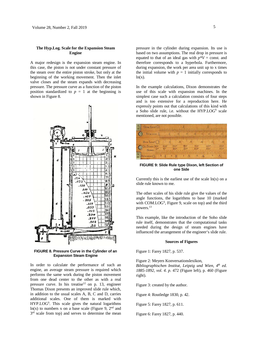# **The Hyp.Log. Scale for the Expansion Steam Engine**

A major redesign is the expansion steam engine. In this case, the piston is not under constant pressure of the steam over the entire piston stroke, but only at the beginning of the working movement. Then the inlet valve closes and the steam expands with decreasing pressure. The pressure curve as a function of the piston position standardized to  $p = 1$  at the beginning is shown in Figure 8.



**FIGURE 8. Pressure Curve in the Cylinder of an Expansion Steam Engine**

In order to calculate the performance of such an engine, an average steam pressure is required which performs the same work during the piston movement from one dead center to the other as with a real pressure curve. In his treatise<sup>12</sup> on p. 13, engineer Thomas Dixon presents an improved slide rule which, in addition to the usual scales A, B, C and D, carries additional scales. One of them is marked with HYP.LOG<sup>S</sup>. This scale gives the natural logarithms  $ln(x)$  to numbers x on a base scale (Figure 9, 2<sup>nd</sup> and 3<sup>rd</sup> scale from top) and serves to determine the mean

pressure in the cylinder during expansion. Its use is based on two assumptions. The real drop in pressure is equated to that of an ideal gas with  $p*V = \text{const.}$  and therefore corresponds to a hyperbola. Furthermore, during expansion, the work per area unit up to x times the initial volume with  $p = 1$  initially corresponds to  $ln(x)$ .

In the example calculations, Dixon demonstrates the use of this scale with expansion machines. In the simplest case such a calculation consists of four steps and is too extensive for a reproduction here. He expressly points out that calculations of this kind with a Soho slide rule, i.e. without the HYP.LOG<sup>S</sup> scale mentioned, are not possible.



**FIGURE 9: Slide Rule type Dixon, left Section of one Side**

Currently this is the earliest use of the scale  $ln(x)$  on a slide rule known to me.

The other scales of his slide rule give the values of the angle functions, the logarithms to base 10 (marked with COM.LOG<sup>S</sup>, Figure 9, scale on top) and the third powers.<sup>13</sup>

This example, like the introduction of the Soho slide rule itself, demonstrates that the computational tasks needed during the design of steam engines have influenced the arrangement of the engineer's slide rule.

#### **Sources of Figures**

Figure 1: Farey 1827, p. 537.

Figure 2: Meyers Konversationslexikon, *Bibliographischen Institut, Leipzig und Wien, 4th ed. 1885-1892, vol. 4. p*. 472 (Figure left), p. 460 (Figure right).

Figure 3: created by the author.

Figure 4: Routledge 1830, p. 42.

Figure 5: Farey 1827, p. 611.

Figure 6: Farey 1827, p. 440.